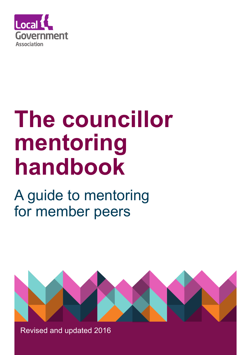

# **The councillor mentoring handbook**

## A guide to mentoring for member peers



Revised and updated 2016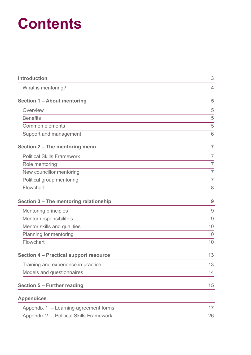## **Contents**

| <b>Introduction</b>                           | 3              |
|-----------------------------------------------|----------------|
| What is mentoring?                            | 4              |
| Section 1 - About mentoring                   | 5              |
| Overview                                      | 5              |
| <b>Benefits</b>                               | 5              |
| <b>Common elements</b>                        | 5              |
| Support and management                        | 6              |
| Section 2 - The mentoring menu                | $\overline{7}$ |
| <b>Political Skills Framework</b>             | $\overline{7}$ |
| Role mentoring                                | $\overline{7}$ |
| New councillor mentoring                      | $\overline{7}$ |
| Political group mentoring                     | $\overline{7}$ |
| Flowchart                                     | 8              |
| Section 3 - The mentoring relationship        | 9              |
| <b>Mentoring principles</b>                   | 9              |
| Mentor responsibilities                       | $\Theta$       |
| Mentor skills and qualities                   | 10             |
| Planning for mentoring                        | 10             |
| Flowchart                                     | 10             |
| <b>Section 4 - Practical support resource</b> | 13             |
| Training and experience in practice           | 13             |
| Models and questionnaires                     | 14             |
| Section 5 - Further reading                   | 15             |
| <b>Appendices</b>                             |                |
| Appendix 1 - Learning agreement forms         | 17             |

Appendix 2 – Political Skills Framework 26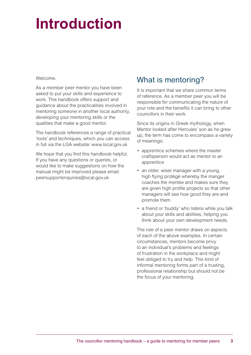## **Introduction**

#### Welcome.

As a member peer mentor you have been asked to put your skills and experience to work. This handbook offers support and guidance about the practicalities involved in mentoring someone in another local authority, developing your mentoring skills or the qualities that make a good mentor.

The handbook references a range of practical 'tools' and techniques, which you can access in full via the LGA website: www.local.gov.uk

We hope that you find this handbook helpful. If you have any questions or queries, or would like to make suggestions on how the manual might be improved please email: peersupportenquiries@local.gov.uk

## What is mentoring?

It is important that we share common terms of reference. As a member peer you will be responsible for communicating the nature of your role and the benefits it can bring to other councillors in their work.

Since its origins in Greek mythology, when Mentor looked after Hercules' son as he grew up, the term has come to encompass a variety of meanings:

- apprentice schemes where the master craftsperson would act as mentor to an apprentice
- an older, wiser manager with a young, high flying protégé whereby the manger coaches the mentee and makes sure they are given high profile projects so that other managers will see how good they are and promote them
- a friend or 'buddy' who listens while you talk about your skills and abilities, helping you think about your own development needs.

The role of a peer mentor draws on aspects of each of the above examples. In certain circumstances, mentors become privy to an individual's problems and feelings of frustration in the workplace and might feel obliged to try and help. This kind of informal mentoring forms part of a trusting, professional relationship but should not be the focus of your mentoring.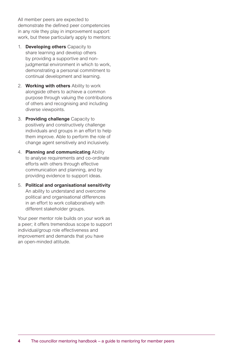All member peers are expected to demonstrate the defined peer competencies in any role they play in improvement support work, but these particularly apply to mentors:

- 1. **Developing others** Capacity to share learning and develop others by providing a supportive and nonjudgmental environment in which to work. demonstrating a personal commitment to continual development and learning.
- 2. **Working with others** Ability to work alongside others to achieve a common purpose through valuing the contributions of others and recognising and including diverse viewpoints.
- 3. **Providing challenge** Capacity to positively and constructively challenge individuals and groups in an effort to help them improve. Able to perform the role of change agent sensitively and inclusively.
- 4. **Planning and communicating** Ability to analyse requirements and co-ordinate efforts with others through effective communication and planning, and by providing evidence to support ideas.
- 5. **Political and organisational sensitivity**  An ability to understand and overcome political and organisational differences in an effort to work collaboratively with different stakeholder groups.

Your peer mentor role builds on your work as a peer; it offers tremendous scope to support individual/group role effectiveness and improvement and demands that you have an open-minded attitude.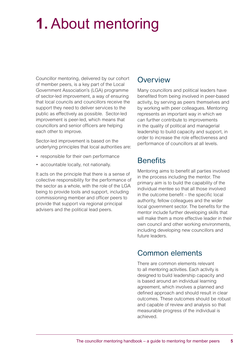## **1.** About mentoring

Councillor mentoring, delivered by our cohort of member peers, is a key part of the Local Government Association's (LGA) programme of sector-led improvement, a way of ensuring that local councils and councillors receive the support they need to deliver services to the public as effectively as possible. Sector-led improvement is peer-led, which means that councillors and senior officers are helping each other to improve.

Sector-led improvement is based on the underlying principles that local authorities are:

- responsible for their own performance
- accountable locally, not nationally.

It acts on the principle that there is a sense of collective responsibility for the performance of the sector as a whole, with the role of the LGA being to provide tools and support, including commissioning member and officer peers to provide that support via regional principal advisers and the political lead peers.

### **Overview**

Many councillors and political leaders have benefited from being involved in peer-based activity, by serving as peers themselves and by working with peer colleagues. Mentoring represents an important way in which we can further contribute to improvements in the quality of political and managerial leadership to build capacity and support, in order to increase the role effectiveness and performance of councillors at all levels.

### **Benefits**

Mentoring aims to benefit all parties involved in the process including the mentor. The primary aim is to build the capability of the individual mentee so that all those involved in the outcome benefit – the specific local authority, fellow colleagues and the wider local government sector. The benefits for the mentor include further developing skills that will make them a more effective leader in their own council and other working environments, including developing new councillors and future leaders.

### Common elements

There are common elements relevant to all mentoring activities. Each activity is designed to build leadership capacity and is based around an individual learning agreement, which involves a planned and defined approach and should result in clear outcomes. These outcomes should be robust and capable of review and analysis so that measurable progress of the individual is achieved.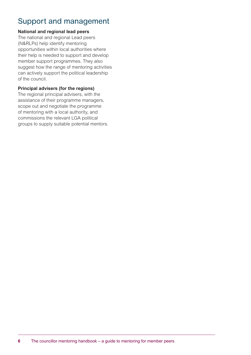## Support and management

#### **National and regional lead peers**

The national and regional Lead peers (N&RLPs) help identify mentoring opportunities within local authorities where their help is needed to support and develop member support programmes. They also suggest how the range of mentoring activities can actively support the political leadership of the council.

#### **Principal advisers (for the regions)**

The regional principal advisers, with the assistance of their programme managers, scope out and negotiate the programme of mentoring with a local authority, and commissions the relevant LGA political groups to supply suitable potential mentors.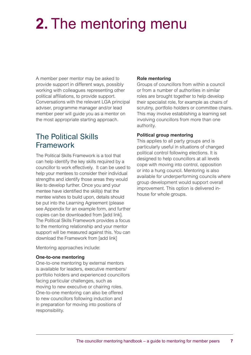# **2.** The mentoring menu

A member peer mentor may be asked to provide support in different ways, possibly working with colleagues representing other political affiliations, to provide support. Conversations with the relevant LGA principal adviser, programme manager and/or lead member peer will guide you as a mentor on the most appropriate starting approach.

### The Political Skills Framework

The Political Skills Framework is a tool that can help identify the key skills required by a councillor to work effectively. It can be used to help your mentees to consider their individual strengths and identify those areas they would like to develop further. Once you and your mentee have identified the skill(s) that the mentee wishes to build upon, details should be put into the Learning Agreement (please see Appendix for an example form, and further copies can be downloaded from [add link]. The Political Skills Framework provides a focus to the mentoring relationship and your mentor support will be measured against this. You can download the Framework from [add link]

Mentoring approaches include:

#### **One-to-one mentoring**

One-to-one mentoring by external mentors is available for leaders, executive members/ portfolio holders and experienced councillors facing particular challenges, such as moving to new executive or chairing roles. One-to-one mentoring can also be offered to new councillors following induction and in preparation for moving into positions of responsibility.

#### **Role mentoring**

Groups of councillors from within a council or from a number of authorities in similar roles are brought together to help develop their specialist role, for example as chairs of scrutiny, portfolio holders or committee chairs. This may involve establishing a learning set involving councillors from more than one authority.

#### **Political group mentoring**

This applies to all party groups and is particularly useful in situations of changed political control following elections. It is designed to help councillors at all levels cope with moving into control, opposition or into a hung council. Mentoring is also available for underperforming councils where group development would support overall improvement. This option is delivered inhouse for whole groups.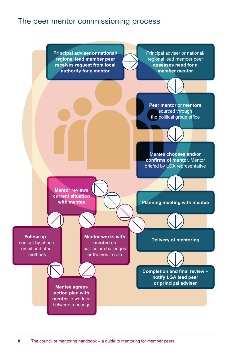### The peer mentor commissioning process

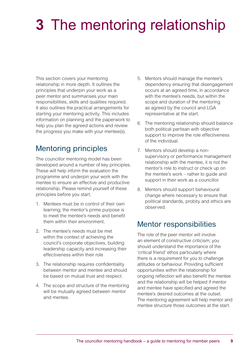# **3** The mentoring relationship

This section covers your mentoring relationship in more depth. It outlines the principles that underpin your work as a peer mentor and summarises your main responsibilities, skills and qualities required. It also outlines the practical arrangements for starting your mentoring activity. This includes information on planning and the paperwork to help you plan the agreed actions and review the progress you make with your mentee(s).

## Mentoring principles

The councillor mentoring model has been developed around a number of key principles. These will help inform the evaluation the programme and underpin your work with the mentee to ensure an effective and productive relationship. Please remind yourself of these principles before you start.

- 1. Mentees must be in control of their own learning; the mentor's prime purpose is to meet the mentee's needs and benefit them within their environment.
- 2. The mentee's needs must be met within the context of achieving the council's corporate objectives, building leadership capacity and increasing their effectiveness within their role
- 3. The relationship requires confidentiality between mentor and mentee and should be based on mutual trust and respect.
- 4. The scope and structure of the mentoring will be mutually agreed between mentor and mentee.
- 5. Mentors should manage the mentee's dependency ensuring that disengagement occurs at an agreed time, in accordance with the mentee's needs, but within the scope and duration of the mentoring as agreed by the council and LGA representative at the start.
- 6. The mentoring relationship should balance both political partisan with objective support to improve the role effectiveness of the individual.
- 7. Mentors should develop a nonsupervisory or performance management relationship with the mentee, it is not the mentor's role to instruct or check up on the mentee's work – rather to guide and support in their work as a councillor.
- 8. Mentors should support behavioural change where necessary to ensure that political standards, probity and ethics are observed.

### Mentor responsibilities

The role of the peer mentor will involve an element of constructive criticism; you should understand the importance of the 'critical friend' ethos particularly where there is a requirement for you to challenge attitudes or behaviour. Providing sufficient opportunities within the relationship for ongoing reflection will also benefit the mentee and the relationship will be helped if mentor and mentee have specified and agreed the mentee's desired outcomes at the outset. The mentoring agreement will help mentor and mentee structure those outcomes at the start.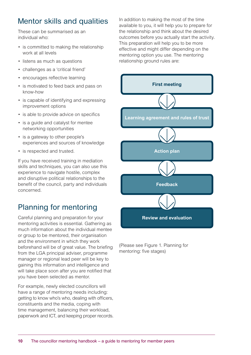## Mentor skills and qualities

These can be summarised as an individual who:

- is committed to making the relationship work at all levels
- listens as much as questions
- challenges as a 'critical friend'
- encourages reflective learning
- is motivated to feed back and pass on know-how
- is capable of identifying and expressing improvement options
- is able to provide advice on specifics
- is a guide and catalyst for mentee networking opportunities
- is a gateway to other people's experiences and sources of knowledge
- is respected and trusted.

If you have received training in mediation skills and techniques, you can also use this experience to navigate hostile, complex and disruptive political relationships to the benefit of the council, party and individuals concerned.

## Planning for mentoring

Careful planning and preparation for your mentoring activities is essential. Gathering as much information about the individual mentee or group to be mentored, their organisation and the environment in which they work beforehand will be of great value. The briefing from the LGA principal adviser, programme manager or regional lead peer will be key to gaining this information and intelligence and will take place soon after you are notified that you have been selected as mentor.

For example, newly elected councillors will have a range of mentoring needs including: getting to know who's who, dealing with officers, constituents and the media, coping with time management, balancing their workload, paperwork and ICT, and keeping proper records. In addition to making the most of the time available to you, it will help you to prepare for the relationship and think about the desired outcomes before you actually start the activity. This preparation will help you to be more effective and might differ depending on the mentoring option you use. The mentoring relationship ground rules are:



(Please see Figure 1. Planning for mentoring: five stages)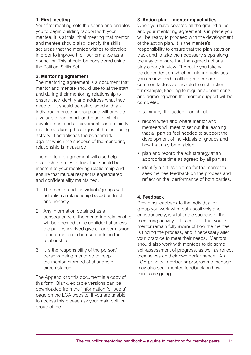#### **1. First meeting**

Your first meeting sets the scene and enables you to begin building rapport with your mentee. It is at this initial meeting that mentor and mentee should also identify the skills set areas that the mentee wishes to develop in order to improve their performance as a councillor. This should be considered using the Political Skills Set.

#### **2. Mentoring agreement**

The mentoring agreement is a document that mentor and mentee should use to at the start and during their mentoring relationship to ensure they identify and address what they need to. It should be established with an individual mentee or group and will provide a valuable framework and plan in which development and achievement can be jointly monitored during the stages of the mentoring activity. It establishes the benchmark against which the success of the mentoring relationship is measured.

The mentoring agreement will also help establish the rules of trust that should be inherent to your mentoring relationship and ensure that mutual respect is engendered and confidentiality maintained.

- 1. The mentor and individuals/groups will establish a relationship based on trust and honesty.
- 2. Any information obtained as a consequence of the mentoring relationship will be deemed to be confidential unless the parties involved give clear permission for information to be used outside the relationship.
- 3. It is the responsibility of the person/ persons being mentored to keep the mentor informed of changes of circumstance.

The Appendix to this document is a copy of this form. Blank, editable versions can be downloaded from the 'Information for peers' page on the LGA website. If you are unable to access this please ask your main political group office.

#### **3. Action plan – mentoring activities**

When you have covered all the ground rules and your mentoring agreement is in place you will be ready to proceed with the development of the action plan. It is the mentee's responsibility to ensure that the plan stays on track and to take the necessary steps along the way to ensure that the agreed actions stay clearly in view. The route you take will be dependent on which mentoring activities you are involved in although there are common factors applicable to each action, for example, keeping to regular appointments and agreeing when the mentor support will be completed.

In summary, the action plan should:

- record when and where mentor and mentee/s will meet to set out the learning that all parties feel needed to support the development of individuals or groups and how that may be enabled
- plan and record the exit strategy at an appropriate time as agreed by all parties
- identify a set aside time for the mentor to seek mentee feedback on the process and reflect on the performance of both parties.

#### **4. Feedback**

Providing feedback to the individual or group you work with, both positively and constructively, is vital to the success of the mentoring activity. This ensures that you as mentor remain fully aware of how the mentee is finding the process, and if necessary alter your practice to meet their needs. Mentors should also work with mentees to do some self-assessment of progress, as well as reflect themselves on their own performance. An LGA principal adviser or programme manager may also seek mentee feedback on how things are going.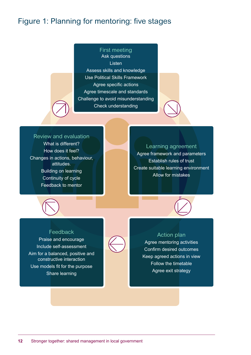## Figure 1: Planning for mentoring: five stages

### First meeting Ask questions Listen Assess skills and knowledge Use Political Skills Framework Agree specific actions Agree timescale and standards Challenge to avoid misunderstanding Check understanding

#### Review and evaluation

What is different? How does it feel? Changes in actions, behaviour, attitudes. Building on learning Continuity of cycle Feedback to mentor

#### Learning agreement

Agree framework and parameters Establish rules of trust Create suitable learning environment Allow for mistakes





#### Feedback

Praise and encourage Include self-assessment Aim for a balanced, positive and constructive interaction Use models fit for the purpose Share learning



#### Action plan

Agree mentoring activities Confirm desired outcomes Keep agreed actions in view Follow the timetable Agree exit strategy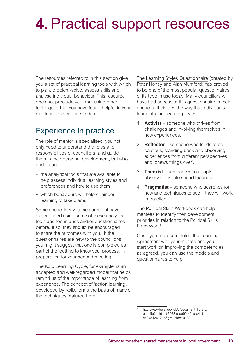## **4.** Practical support resources

The resources referred to in this section give you a set of practical learning tools with which to plan, problem-solve, assess skills and analyse individual behaviour. This resource does not preclude you from using other techniques that you have found helpful in your mentoring experience to date.

### Experience in practice

The role of mentor is specialised; you not only need to understand the roles and responsibilities of councillors, and guide them in their personal development, but also understand:

- the analytical tools that are available to help assess individual learning styles and preferences and how to use them
- which behaviours will help or hinder learning to take place.

Some councillors you mentor might have experienced using some of these analytical tools and techniques and/or questionnaires before. If so, they should be encouraged to share the outcomes with you. If the questionnaires are new to the councillor/s, you might suggest that one is completed as part of the 'getting to know you' process, in preparation for your second meeting.

The Kolb Learning Cycle, for example, is an accepted and well-regarded model that helps remind us of the importance of learning from experience. The concept of 'action learning', developed by Kolb, forms the basis of many of the techniques featured here.

The Learning Styles Questionnaire (created by Peter Honey and Alan Mumford) has proved to be one of the most popular questionnaires of its type in use today. Many councillors will have had access to this questionnaire in their councils. It divides the way that individuals learn into four learning styles:

- 1. **Activist** someone who thrives from challenges and involving themselves in new experiences.
- 2. **Reflector** someone who tends to be cautious, standing back and observing experiences from different perspectives and 'chews things over'.
- 3. **Theorist** someone who adapts observations into sound theories.
- 4. **Pragmatist** someone who searches for new and techniques to see if they will work in practice.

The Political Skills Workbook can help mentees to identify their development priorities in relation to the Political Skills Framework<sup>1</sup>.

Once you have completed the Learning Agreement with your mentee and you start work on improving the competencies as agreed, you can use the models and questionnaires to help.

http://www.local.gov.uk/c/document\_library/ get\_file?uuid=1b5968fa-ae90-49ca-a416ed94a126721a&groupId=10180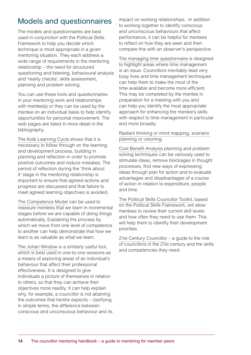## Models and questionnaires

The models and questionnaires are best used in conjunction with the Political Skills Framework to help you decide which technique is most appropriate in a given mentoring situation. They each address a wide range of requirements in the mentoring relationship – the need for structured questioning and listening, behavioural analysis and 'reality checks', skills assessment, planning and problem solving.

You can use these tools and questionnaires in your mentoring work and relationships with mentee(s) or they can be used by the mentee on an individual basis to help identify opportunities for personal improvement. The web pages are listed in more detail in the bibliography.

The Kolb Learning Cycle shows that it is necessary to follow through on the learning and development process, building in planning and reflection in order to promote positive outcomes and reduce mistakes. The period of reflection during the 'think about it' stage in the mentoring relationship is important to ensure that agreed actions and progress are discussed and that failure to meet agreed learning objectives is avoided.

The Competence Model can be used to reassure mentees that we learn in incremental stages before we are capable of doing things automatically. Explaining the process by which we move from one level of competence to another can help demonstrate that how we learn is as valuable as what we learn.

The Johari Window is a similarly useful tool, which is best used in one-to-one sessions as a means of exploring areas of an individual's behaviour that affect their professional effectiveness. It is designed to give individuals a picture of themselves in relation to others, so that they can achieve their objectives more readily. It can help explain why, for example, a councillor is not attaining the outcomes that he/she expects – clarifying in simple terms, the difference between conscious and unconscious behaviour and its impact on working relationships. In addition to working together to identify conscious and unconscious behaviours that affect performance, it can be helpful for mentees to reflect on how they are seen and then compare this with an observer's perspective.

The managing time questionnaire is designed to highlight areas where time management is an issue. Councillors inevitably lead very busy lives and time management techniques can help them to make the most of the time available and become more efficient. This may be completed by the mentee in preparation for a meeting with you and can help you identify the most appropriate approach for enhancing the mentee's skills with respect to time management in particular and more broadly.

#### Radiant thinking or mind mapping, scenario planning or visioning.

Cost Benefit Analysis planning and problem solving techniques can be variously used to stimulate ideas, remove blockages in thought processes, find new ways of expressing ideas through plan for action and to evaluate advantages and disadvantages of a course of action in relation to expenditure, people and time.

The Political Skills Councillor Toolkit, based on the Political Skills Framework, will allow mentees to review their current skill levels and how often they need to use them. This will help them to identify their development priorities.

[21st Century Councillor](https://21stcenturypublicservant.files.wordpress.com/2016/07/21st-century-councillor.pdf ) – a guide to the role of councillors in the 21st century and the skills and competencies they need.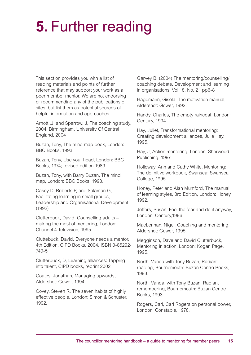## **5.** Further reading

This section provides you with a list of reading materials and points of further reference that may support your work as a peer member mentor. We are not endorsing or recommending any of the publications or sites, but list them as potential sources of helpful information and approaches.

Arnott ,J, and Sparrow, J, The coaching study, 2004, Birmingham, University Of Central England, 2004

Buzan, Tony, The mind map book, London: BBC Books, 1993,

Buzan, Tony, Use your head, London: BBC Books, 1974; revised edition 1989.

Buzan, Tony, with Barry Buzan, The mind map, London: BBC Books, 1993.

Casey D, Roberts P, and Salaman G, Facilitating learning in small groups, Leadership and Organisational Development (1992)

Clutterbuck, David, Counselling adults – making the most of mentoring, London: Channel 4 Television, 1995.

Cluttebuck, David, Everyone needs a mentor, 4th Edition, CIPD Books, 2004. ISBN 0-85292- 749-5

Clutterbuck, D, Learning alliances: Tapping into talent, CIPD books, reprint 2002

Coates, Jonathan, Managing upwards, Aldershot: Gower, 1994.

Covey, Steven R, The seven habits of highly effective people, London: Simon & Schuster, 1992.

Garvey B, (2004) The mentoring/counselling/ coaching debate. Development and learning in organisations. Vol 18, No. 2 . pp6-8

Hagemann, Gisela, The motivation manual, Aldershot: Gower, 1992.

Handy, Charles, The empty raincoat, London: Century, 1994.

Hay, Juliet, Transformational mentoring: Creating development alliances, Julie Hay, 1995.

Hay, J, Action mentoring, London, Sherwood Publishing, 1997

Holloway, Ann and Cathy White, Mentoring: The definitive workbook, Swansea: Swansea College, 1995.

Honey, Peter and Alan Mumford, The manual of learning styles, 3rd Edition, London: Honey, 1992.

Jeffers, Susan, Feel the fear and do it anyway, London: Century,1996.

MacLennan, Nigel, Coaching and mentoring, Aldershot: Gower, 1995.

Megginson, Dave and David Clutterbuck, Mentoring in action, London: Kogan Page, 1995.

North, Vanda with Tony Buzan, Radiant reading, Bournemouth: Buzan Centre Books, 1993.

North, Vanda, with Tony Buzan, Radiant remembering, Bournemouth: Buzan Centre Books, 1993.

Rogers, Carl, Carl Rogers on personal power, London: Constable, 1978.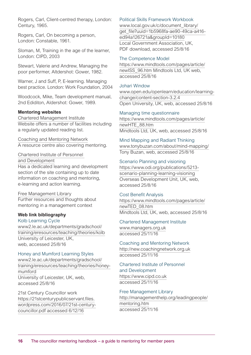Rogers, Carl, Client-centred therapy, London: Century, 1965.

Rogers, Carl, On becoming a person, London: Constable, 1961.

Sloman, M, Training in the age of the learner, London: CIPD, 2003

Stewart, Valerie and Andrew, Managing the poor performer, Altdershot: Gower, 1982.

Warner, J and Suff, P, E-learning. Managing best practice. London: Work Foundation, 2004

Woodcock, Mike, Team development manual, 2nd Ediditon, Aldershot: Gower, 1989.

#### **Mentoring websites**

Chartered Management Institute Website offers a number of facilities including a regularly updated reading list.

Coaching and Mentoring Network A resource centre also covering mentoring.

Chartered Institute of Personnel and Development Has a dedicated learning and development

section of the site containing up to date information on coaching and mentoring, e-learning and action learning.

Free Management Library Further resources and thoughts about mentoring in a management context

#### **Web link bibliography**

Kolb Learning Cycle www2.le.ac.uk/departments/gradschool/ training/eresources/teaching/theories/kolb University of Leicester, UK, web, accessed 25/8/16

#### Honey and Mumford Learning Styles

www2.le.ac.uk/departments/gradschool/ training/eresources/teaching/theories/honeymumford University of Leicester, UK, web, accessed 25/8/16

21st Century Councillor work [https://21stcenturypublicservant.files.](https://21stcenturypublicservant.files.wordpress.com/2016/07/21st-century-councillor.pdf accessed 6/12/16) [wordpress.com/2016/07/21st-century](https://21stcenturypublicservant.files.wordpress.com/2016/07/21st-century-councillor.pdf accessed 6/12/16)[councillor.pdf accessed 6/12/16](https://21stcenturypublicservant.files.wordpress.com/2016/07/21st-century-councillor.pdf accessed 6/12/16)

#### Political Skills Framework Workbook

www.local.gov.uk/c/document\_library/ get\_file?uuid=1b5968fa-ae90-49ca-a416ed94a126721a&groupId=10180 Local Government Association, UK, PDF download, accessed 25/8/16

#### The Competence Model

https://www.mindtools.com/pages/article/ newISS\_96.htm Mindtools Ltd, UK web, accessed 25/8/16

#### Johari Window

www.open.edu/openlearn/education/learningchange/content-section-3.2.4 Open University, UK, web, accessed 25/8/16

#### Managing time questionnaire

https://www.mindtools.com/pages/article/ newHTE\_88.htm Mindtools Ltd, UK, web, accessed 25/8/16

Mind Mapping and Radiant Thinking

www.tonybuzan.com/about/mind-mapping/ Tony Buzan, web, accessed 25/8/16

#### Scenario Planning and visioning

https://www.odi.org/publications/5213 scenario-planning-learning-visioning Overseas Development Unit, UK, web, accessed 25/8/16

#### Cost Benefit Analysis

https://www.mindtools.com/pages/article/ newTED\_08.htm Mindtools Ltd, UK, web, accessed 25/8/16

#### Chartered Management Institute

www.managers.org.uk accessed 25/11/16

#### Coaching and Mentoring Network

http://new.coachingnetwork.org.uk accessed 25/11/16

#### Chartered Institute of Personnel and Development https://www.cipd.co.uk

accessed 25/11/16

#### Free Management Library

http://managementhelp.org/leadingpeople/ mentoring.htm accessed 25/11/16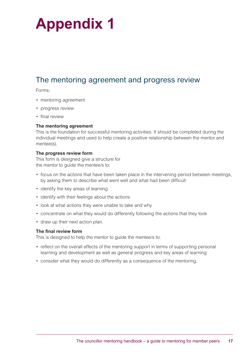## **Appendix 1**

## The mentoring agreement and progress review

Forms:

- mentoring agreement
- progress review
- final review

#### **The mentoring agreement**

This is the foundation for successful mentoring activities. It should be completed during the individual meetings and used to help create a positive relationship between the mentor and mentee(s).

#### **The progress review form**

This form is designed give a structure for the mentor to guide the mentee/s to:

- focus on the actions that have been taken place in the intervening period between meetings, by asking them to describe what went well and what had been difficult
- identify the key areas of learning
- identify with their feelings about the actions
- look at what actions they were unable to take and why
- concentrate on what they would do differently following the actions that they took
- draw up their next action plan.

#### **The final review form**

This is designed to help the mentor to guide the mentee/s to:

- reflect on the overall effects of the mentoring support in terms of supporting personal learning and development as well as general progress and key areas of learning
- consider what they would do differently as a consequence of the mentoring.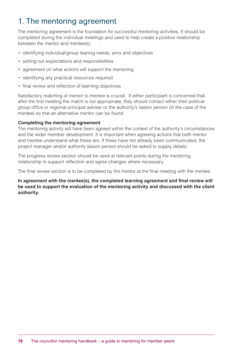## 1. The mentoring agreement

The mentoring agreement is the foundation for successful mentoring activities. It should be completed during the individual meetings and used to help create a positive relationship between the mentor and mentee(s):

- identifying individual/group leaning needs, aims and objectives
- setting out expectations and responsibilities
- agreement on what actions will support the mentoring
- identifying any practical resources required
- final review and reflection of learning objectives

Satisfactory matching of mentor to mentee is crucial. If either participant is concerned that after the first meeting the match is not appropriate, they should contact either their political group office or regional principal adviser or the authority's liaison person (in the case of the mentee) so that an alternative mentor can be found.

#### **Completing the mentoring agreement**

The mentoring activity will have been agreed within the context of the authority's circumstances and the wider member development. It is important when agreeing actions that both mentor and mentee understand what these are. If these have not already been communicated, the project manager and/or authority liaison person should be asked to supply details.

The progress review section should be used at relevant points during the mentoring relationship to support reflection and agree changes where necessary.

The final review section is to be completed by the mentor at the final meeting with the mentee.

**In agreement with the mentee(s), the completed learning agreement and final review will be used to support the evaluation of the mentoring activity and discussed with the client authority.**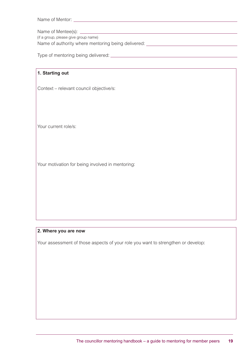| Name of Mentor: |  |
|-----------------|--|
|                 |  |

Name of Mentee(s):

(if a group, please give group name)

Name of authority where mentoring being delivered: \_\_\_\_\_\_\_\_\_\_\_\_\_\_\_\_\_\_\_\_\_\_\_\_\_\_\_\_\_

Type of mentoring being delivered:

| 1. Starting out                                  |
|--------------------------------------------------|
|                                                  |
| Context - relevant council objective/s:          |
|                                                  |
|                                                  |
|                                                  |
|                                                  |
|                                                  |
| Your current role/s:                             |
|                                                  |
|                                                  |
|                                                  |
|                                                  |
| Your motivation for being involved in mentoring: |
|                                                  |
|                                                  |
|                                                  |
|                                                  |
|                                                  |
|                                                  |
|                                                  |

#### **2. Where you are now**

Your assessment of those aspects of your role you want to strengthen or develop: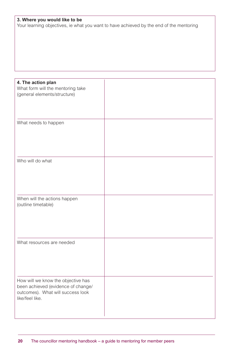### **3. Where you would like to be**

Your learning objectives, ie what you want to have achieved by the end of the mentoring

| 4. The action plan<br>What form will the mentoring take<br>(general elements/structure)                                          |  |
|----------------------------------------------------------------------------------------------------------------------------------|--|
| What needs to happen                                                                                                             |  |
| Who will do what                                                                                                                 |  |
| When will the actions happen<br>(outline timetable)                                                                              |  |
| What resources are needed                                                                                                        |  |
| How will we know the objective has<br>been achieved (evidence of change/<br>outcomes). What will success look<br>like/feel like. |  |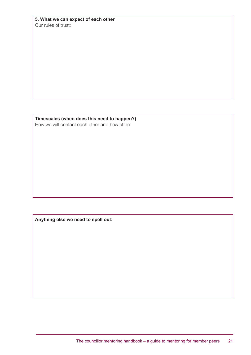|                     | 5. What we can expect of each other |  |
|---------------------|-------------------------------------|--|
| Our rules of trust: |                                     |  |

**Timescales (when does this need to happen?)** How we will contact each other and how often:

**Anything else we need to spell out:**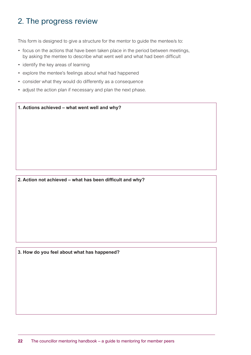## 2. The progress review

This form is designed to give a structure for the mentor to guide the mentee/s to:

- focus on the actions that have been taken place in the period between meetings, by asking the mentee to describe what went well and what had been difficult
- identify the key areas of learning
- explore the mentee's feelings about what had happened
- consider what they would do differently as a consequence
- adjust the action plan if necessary and plan the next phase.

**1. Actions achieved – what went well and why?**

#### **2. Action not achieved – what has been difficult and why?**

**3. How do you feel about what has happened?**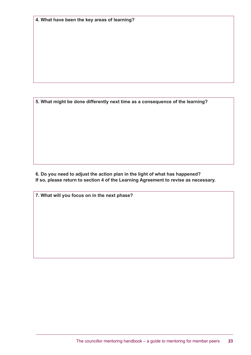**5. What might be done differently next time as a consequence of the learning?** 

**6. Do you need to adjust the action plan in the light of what has happened? If so, please return to section 4 of the Learning Agreement to revise as necessary.** 

**7. What will you focus on in the next phase?**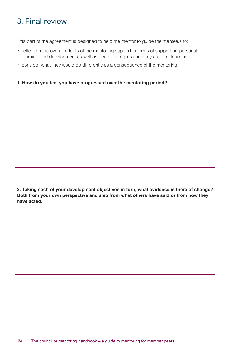## 3. Final review

This part of the agreement is designed to help the mentor to guide the mentee/s to:

- reflect on the overall effects of the mentoring support in terms of supporting personal learning and development as well as general progress and key areas of learning
- consider what they would do differently as a consequence of the mentoring.

**1. How do you feel you have progressed over the mentoring period?**

**2. Taking each of your development objectives in turn, what evidence is there of change? Both from your own perspective and also from what others have said or from how they have acted.**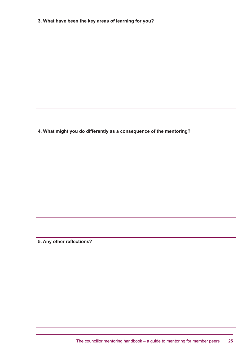**3. What have been the key areas of learning for you?** 

**4. What might you do differently as a consequence of the mentoring?** 

**5. Any other reflections?**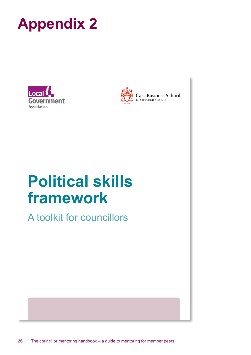





**Cass Business School**<br>CITY UNIVERSITY LONDON

## **Political skills framework**

A toolkit for councillors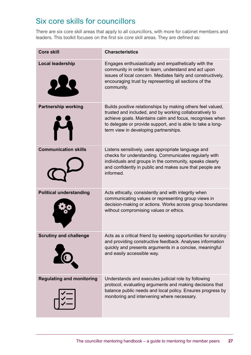## Six core skills for councillors

There are six core skill areas that apply to all councillors, with more for cabinet members and leaders. This toolkit focuses on the first six core skill areas. They are defined as:

| <b>Core skill</b>                | <b>Characteristics</b>                                                                                                                                                                                                                                                                     |
|----------------------------------|--------------------------------------------------------------------------------------------------------------------------------------------------------------------------------------------------------------------------------------------------------------------------------------------|
| <b>Local leadership</b>          | Engages enthusiastically and empathetically with the<br>community in order to learn, understand and act upon<br>issues of local concern. Mediates fairly and constructively,<br>encouraging trust by representing all sections of the<br>community.                                        |
| <b>Partnership working</b>       | Builds positive relationships by making others feel valued,<br>trusted and included, and by working collaboratively to<br>achieve goals. Maintains calm and focus, recognises when<br>to delegate or provide support, and is able to take a long-<br>term view in developing partnerships. |
| <b>Communication skills</b>      | Listens sensitively, uses appropriate language and<br>checks for understanding. Communicates regularly with<br>individuals and groups in the community, speaks clearly<br>and confidently in public and makes sure that people are<br>informed.                                            |
| <b>Political understanding</b>   | Acts ethically, consistently and with integrity when<br>communicating values or representing group views in<br>decision-making or actions. Works across group boundaries<br>without compromising values or ethics.                                                                         |
| <b>Scrutiny and challenge</b>    | Acts as a critical friend by seeking opportunities for scrutiny<br>and providing constructive feedback. Analyses information<br>quickly and presents arguments in a concise, meaningful<br>and easily accessible way.                                                                      |
| <b>Regulating and monitoring</b> | Understands and executes judicial role by following<br>protocol, evaluating arguments and making decisions that<br>balance public needs and local policy. Ensures progress by<br>monitoring and intervening where necessary.                                                               |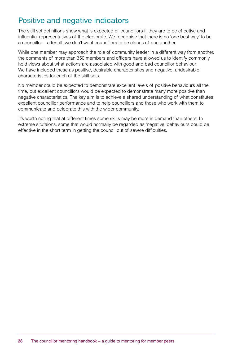## Positive and negative indicators

The skill set definitions show what is expected of councillors if they are to be effective and influential representatives of the electorate. We recognise that there is no 'one best way' to be a councillor – after all, we don't want councillors to be clones of one another.

While one member may approach the role of community leader in a different way from another, the comments of more than 350 members and officers have allowed us to identify commonly held views about what actions are associated with good and bad councillor behaviour. We have included these as positive, desirable characteristics and negative, undesirable characteristics for each of the skill sets.

No member could be expected to demonstrate excellent levels of positive behaviours all the time, but excellent councillors would be expected to demonstrate many more positive than negative characteristics. The key aim is to achieve a shared understanding of what constitutes excellent councillor performance and to help councillors and those who work with them to communicate and celebrate this with the wider community.

It's worth noting that at different times some skills may be more in demand than others. In extreme situtaions, some that would normally be regarded as 'negative' behaviours could be effective in the short term in getting the council out of severe difficulties.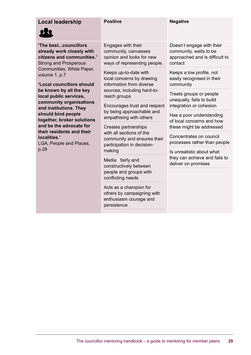### **Local leadership Positive Positive Regative**

**'The best...councillors already work closely with citizens and communities.'** Strong and Prosperous Communities, White Paper, volume 1, p.7

**'Local councillors should be known by all the key local public services, community organisations and institutions. They should bind people together, broker solutions and be the advocate for their residents and their localities.'**

LGA, People and Places, p.29

Engages with their community, canvasses opinion and looks for new ways of representing people.

Keeps up-to-date with local concerns by drawing information from diverse sources, including hard-toreach groups

Encourages trust and respect by being approachable and empathising with others

Creates partnerships with all sections of the community and ensures their participation in decisionmaking

Media fairly and constructively between people and groups with conflicting needs

Acts as a champion for others by campaigning with enthusiasm courage and persistence

Doesn't engage with their community, waits to be approached and is difficult to contact

Keeps a low profile, not easily recognised in their community

Treats groups or people unequally, fails to build integration or cohesion

Has a poor understanding of local concerns and how these might be addressed

Concentrates on council processes rather than people

Is unrealistic about what they can achieve and fails to deliver on promises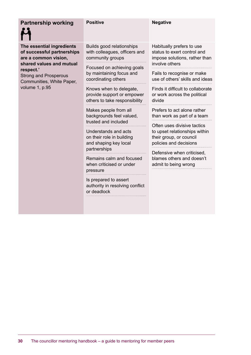| <b>Partnership working</b>                                                                                                                                                                              | <b>Positive</b>                                                                        | <b>Negative</b>                                                                                                                                                                                                                                                    |
|---------------------------------------------------------------------------------------------------------------------------------------------------------------------------------------------------------|----------------------------------------------------------------------------------------|--------------------------------------------------------------------------------------------------------------------------------------------------------------------------------------------------------------------------------------------------------------------|
| The essential ingredients<br>of successful partnerships<br>are a common vision,<br>shared values and mutual<br>respect.'<br><b>Strong and Prosperous</b><br>Communities, White Paper,<br>volume 1, p.95 | Builds good relationships<br>with colleagues, officers and<br>community groups         | Habitually prefers to use<br>status to exert control and<br>impose solutions, rather than<br>involve others                                                                                                                                                        |
|                                                                                                                                                                                                         | Focused on achieving goals<br>by maintaining focus and<br>coordinating others          | Fails to recognise or make<br>use of others' skills and ideas                                                                                                                                                                                                      |
|                                                                                                                                                                                                         | Knows when to delegate,<br>provide support or empower<br>others to take responsibility | Finds it difficult to collaborate<br>or work across the political<br>divide                                                                                                                                                                                        |
|                                                                                                                                                                                                         | Makes people from all<br>backgrounds feel valued,<br>trusted and included              | Prefers to act alone rather<br>than work as part of a team<br>Often uses divisive tactics<br>to upset relationships within<br>their group, or council<br>policies and decisions<br>Defensive when criticised,<br>blames others and doesn't<br>admit to being wrong |
|                                                                                                                                                                                                         | Understands and acts<br>on their role in building<br>and shaping key local             |                                                                                                                                                                                                                                                                    |
|                                                                                                                                                                                                         | partnerships<br>Remains calm and focused<br>when criticised or under<br>pressure       |                                                                                                                                                                                                                                                                    |
|                                                                                                                                                                                                         | Is prepared to assert<br>authority in resolving conflict<br>or deadlock                |                                                                                                                                                                                                                                                                    |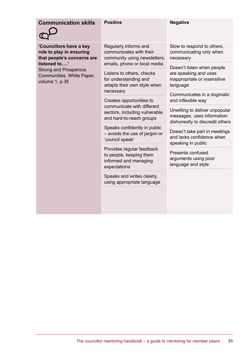| <b>Communication skills</b>                                                                                                                                                      | <b>Positive</b>                                                                                                                  | <b>Negative</b>                                                                                 |
|----------------------------------------------------------------------------------------------------------------------------------------------------------------------------------|----------------------------------------------------------------------------------------------------------------------------------|-------------------------------------------------------------------------------------------------|
| 'Councillors have a key<br>role to play in ensuring<br>that people's concerns are<br>listened to'<br><b>Strong and Prosperous</b><br>Communities, White Paper,<br>volume 1, p.35 | Regularly informs and<br>communicates with their<br>community using newsletters,<br>emails, phone or local media                 | Slow to respond to others,<br>communicating only when<br>necessary                              |
|                                                                                                                                                                                  | Listens to others, checks<br>for understanding and<br>adapts their own style when                                                | Doesn't listen when people<br>are speaking and uses<br>inappropriate or insensitive<br>language |
|                                                                                                                                                                                  | necessary<br>Creates opportunities to<br>communicate with different<br>sectors, including vulnerable<br>and hard-to-reach groups | Communicates in a dogmatic<br>and inflexible way                                                |
|                                                                                                                                                                                  |                                                                                                                                  | Unwilling to deliver unpopular<br>messages, uses information<br>dishonestly to discredit others |
|                                                                                                                                                                                  | Speaks confidently in public<br>- avoids the use of jargon or<br>'council speak'                                                 | Doesn't take part in meetings<br>and lacks confidence when<br>speaking in public                |
|                                                                                                                                                                                  | Provides regular feedback<br>to people, keeping them<br>informed and managing<br>expectations                                    | Presents confused<br>arguments using poor<br>language and style                                 |
|                                                                                                                                                                                  | Speaks and writes clearly,<br>using appropriate language                                                                         |                                                                                                 |
|                                                                                                                                                                                  |                                                                                                                                  |                                                                                                 |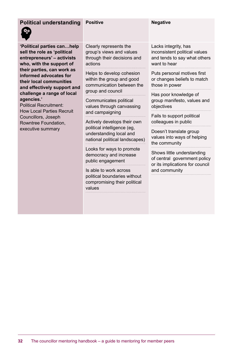| <b>Political understanding</b>                                                                                                                                                                                                                                                                                                                                                                                             | <b>Positive</b>                                                                                  | <b>Negative</b>                                                                                                |
|----------------------------------------------------------------------------------------------------------------------------------------------------------------------------------------------------------------------------------------------------------------------------------------------------------------------------------------------------------------------------------------------------------------------------|--------------------------------------------------------------------------------------------------|----------------------------------------------------------------------------------------------------------------|
| 'Political parties canhelp<br>sell the role as 'political<br>entrepreneurs' - activists<br>who, with the support of<br>their parties, can work as<br>informed advocates for<br>their local communities<br>and effectively support and<br>challenge a range of local<br>agencies.'<br><b>Political Recruitment:</b><br><b>How Local Parties Recruit</b><br>Councillors, Joseph<br>Rowntree Foundation,<br>executive summary | Clearly represents the<br>group's views and values<br>through their decisions and<br>actions     | Lacks integrity, has<br>inconsistent political values<br>and tends to say what others<br>want to hear          |
|                                                                                                                                                                                                                                                                                                                                                                                                                            | Helps to develop cohesion<br>within the group and good<br>communication between the              | Puts personal motives first<br>or changes beliefs to match<br>those in power                                   |
|                                                                                                                                                                                                                                                                                                                                                                                                                            | group and council<br>Communicates political<br>values through canvassing                         | Has poor knowledge of<br>group manifesto, values and<br>objectives                                             |
|                                                                                                                                                                                                                                                                                                                                                                                                                            | and campaigning<br>Actively develops their own                                                   | Fails to support political<br>colleagues in public                                                             |
|                                                                                                                                                                                                                                                                                                                                                                                                                            | political intelligence (eg,<br>understanding local and<br>national political landscapes)         | Doesn't translate group<br>values into ways of helping<br>the community                                        |
|                                                                                                                                                                                                                                                                                                                                                                                                                            | Looks for ways to promote<br>democracy and increase<br>public engagement                         | Shows little understanding<br>of central government policy<br>or its implications for council<br>and community |
|                                                                                                                                                                                                                                                                                                                                                                                                                            | Is able to work across<br>political boundaries without<br>compromising their political<br>values |                                                                                                                |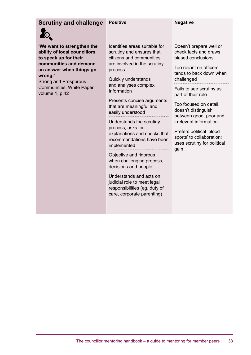### **Scrutiny and challenge Positive <b>Negative** Regative



**wrong.'**

volume 1, p.42

**to speak up for their** 

Strong and Prosperous Communities, White Paper,

**'We want to strengthen the ability of local councillors communities and demand an answer when things go**  Identifies areas suitable for scrutiny and ensures that citizens and communities are involved in the scrutiny process

> Quickly understands and analyses complex Information

Presents concise arguments that are meaningful and easily understood

Understands the scrutiny process, asks for explanations and checks that recommendations have been implemented

Objective and rigorous when challenging process, decisions and people

Understands and acts on judicial role to meet legal responsibilities (eg, duty of care, corporate parenting)

Doesn't prepare well or check facts and draws biased conclusions

Too reliant on officers, tends to back down when challenged

Fails to see scrutiny as part of their role

Too focused on detail, doesn't distinguish between good, poor and irrelevant information

Prefers political 'blood sports' to collaboration: uses scrutiny for political gain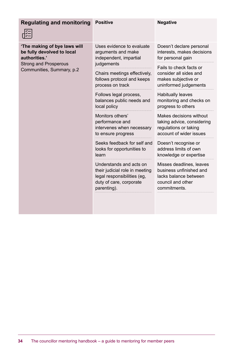| <b>Regulating and monitoring</b>                                                                                                         | <b>Positive</b>                                                                                                                    | <b>Negative</b>                                                                                                   |
|------------------------------------------------------------------------------------------------------------------------------------------|------------------------------------------------------------------------------------------------------------------------------------|-------------------------------------------------------------------------------------------------------------------|
| 'The making of bye laws will<br>be fully devolved to local<br>authorities.'<br><b>Strong and Prosperous</b><br>Communities, Summary, p.2 | Uses evidence to evaluate<br>arguments and make<br>independent, impartial                                                          | Doesn't declare personal<br>interests, makes decisions<br>for personal gain                                       |
|                                                                                                                                          | judgements<br>Chairs meetings effectively,<br>follows protocol and keeps<br>process on track                                       | Fails to check facts or<br>consider all sides and<br>makes subjective or<br>uninformed judgements                 |
|                                                                                                                                          | Follows legal process,<br>balances public needs and<br>local policy                                                                | <b>Habitually leaves</b><br>monitoring and checks on<br>progress to others                                        |
|                                                                                                                                          | Monitors others'<br>performance and<br>intervenes when necessary<br>to ensure progress                                             | Makes decisions without<br>taking advice, considering<br>regulations or taking<br>account of wider issues         |
|                                                                                                                                          | Seeks feedback for self and<br>looks for opportunities to<br>learn                                                                 | Doesn't recognise or<br>address limits of own<br>knowledge or expertise                                           |
|                                                                                                                                          | Understands and acts on<br>their judicial role in meeting<br>legal responsibilities (eg,<br>duty of care, corporate<br>parenting). | Misses deadlines, leaves<br>business unfinished and<br>lacks balance between<br>council and other<br>commitments. |
|                                                                                                                                          |                                                                                                                                    |                                                                                                                   |